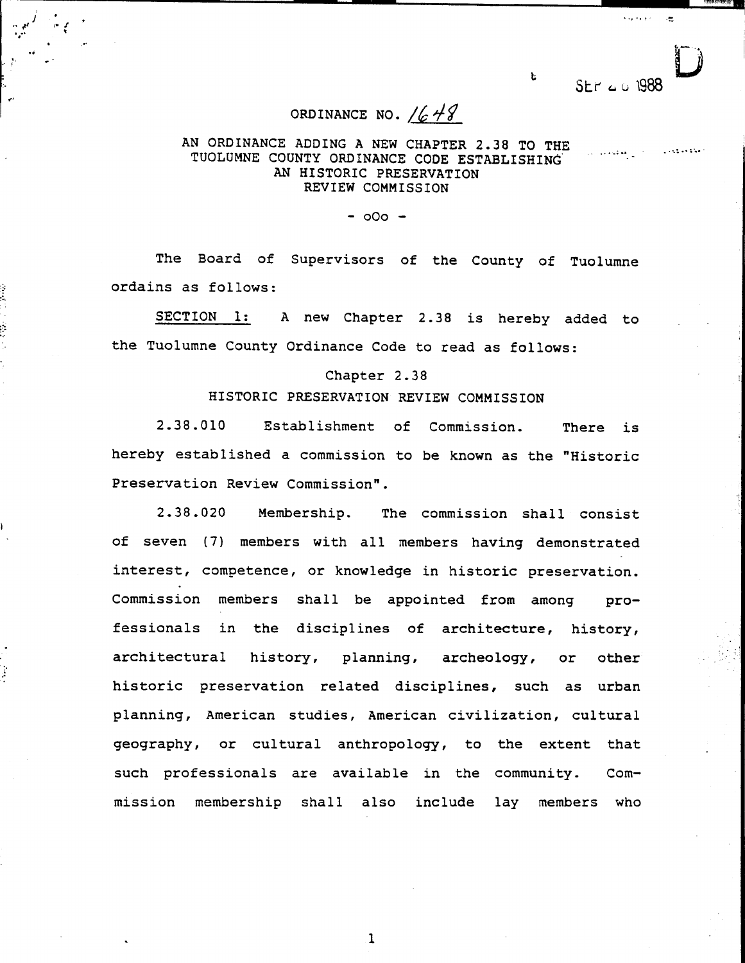$SFR \approx 0.1988$ 

to

'"""'"'~'- "..,.,"-

:

## ORDINANCE NO.  $/648$

 $\mathcal{L}$ 

, and the contract of the contract of the contract of the contract of the contract of the contract of the contract of the contract of the contract of the contract of the contract of the contract of the contract of the con

 $J$  . The contract of the contract of the contract of the contract of the contract of the contract of the contract of the contract of the contract of the contract of the contract of the contract of the contract of the con . It is a second contract to the contract of the contract of the contract of the contract of the contract of the contract of the contract of the contract of the contract of the contract of the contract of the contract of t

 $\mathcal{L}$   $\mathcal{L}$ ..

"" " .

,.-

~

.. ..

.1

## AN ORDINANCE ADDING A NEW CHAPTER 2.38 TO THE TUOLUMNE COUNTY ORDINANCE CODE ESTABLISHING AN HISTORIC PRESERVATION REVIEW COMMISSION

 $-000 -$ 

The Board of Supervisors of the County of Tuolumne ordains as follows:

SECTION 1: A new Chapter 2.38 is hereby added to the Tuolumne County Ordinance Code to read as follows:

## Chapter 2.38

## HISTORIC PRESERVATION REVIEW COMMISSION

2.38.010 Establishment of Commission. There is hereby established a commission to be known as the "Historic Preservation Review Commission".

2.38.020 Membership. The commission shall consist of seven (7) members with all members having demonstrated interest, competence, or knowledge in historic preservation. Commission members shall be appointed from among professionals in the disciplines of architecture, history, architectural history, planning, archeology, or other historic preservation related disciplines, such as urban planning, American studies, American civilization, cultural geography, or cultural anthropology, to the extent that such professionals are available in the community. Commission membership shall also include lay members who

 $\mathbf{1}$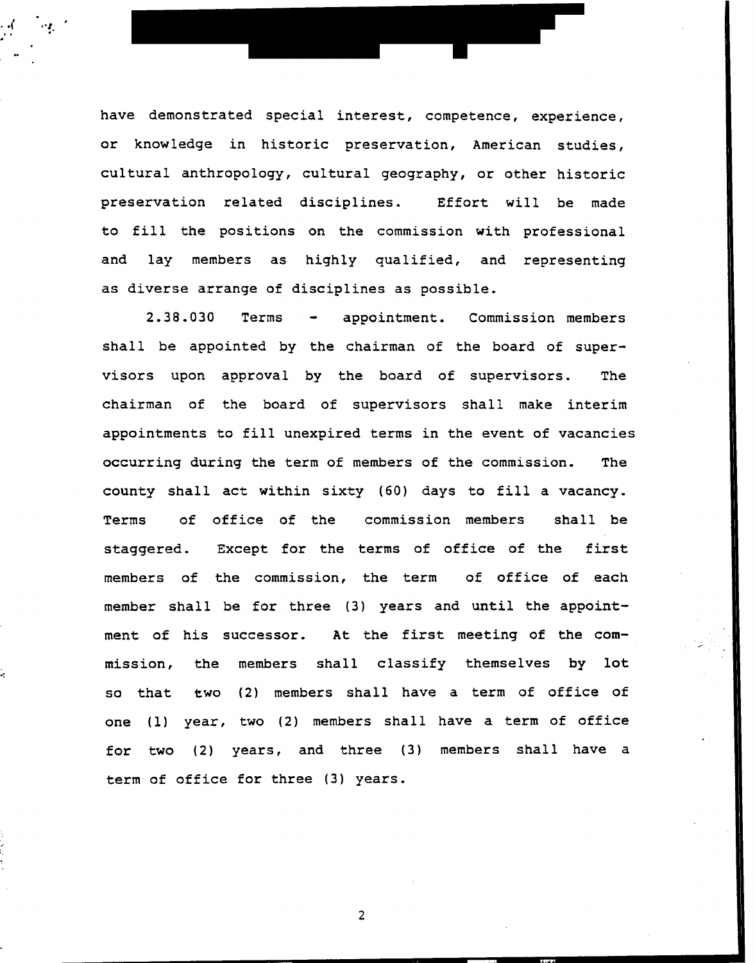have demonstrated special interest, competence, experience, or knowledge in historic preservation, American studies, cultural anthropology, cultural geography, or other historic preservation related disciplines. Effort will be made to fill the positions on the commission with professional and lay members as highly qualified, and representing as diverse arrange of disciplines as possible.

- -

, and the set of  $\mathcal{L}_1$ 

2.38.030 Terms - appointment. Commission members shall be appointed by the chairman of the board of supervisors upon approval by the board of supervisors. The chairman of the board of supervisors shall make interim appointments to fill unexpired terms in the event of vacancies occurring during the term of members of the commission. The county shall act within sixty (60) days to fill a vacancy. Terms of office of the commission members shall be staggered. Except for the terms of office of the first members of the commission, the term of office of each member shall be for three (3) years and until the appoint ment of his successor. At the first meeting of the com-~ ~ mission, the members shall classify themselves by lot so that two (2) members shall have a term of office of one (1) year, two (2) members shall have a term of office for two (2) years, and three (3) members shall have a term of office for three (3) years.

 $\overline{2}$ 

"' .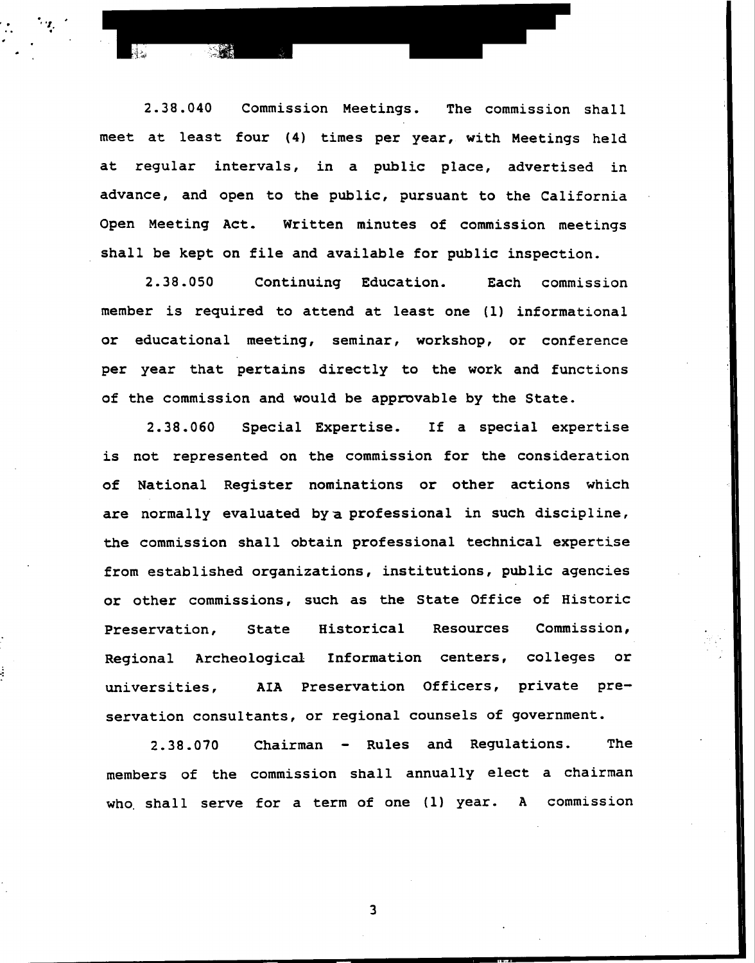2.38.040 Commission Meetings. The commission shall meet at least four (4) times per year, with Meetings held at regular intervals, in a public place, advertised in advance, and open to the public, pursuant to the California Open Meeting Act. Written minutes of commission meetings shall be kept on file and available for public inspection.

..  $\mathcal{L}^{\text{max}}$ 

 $\cdot$  .

2.38.050 Continuing Education. Each commission member is required to attend at least one (1) informational or educational meeting, seminar, workshop, or conference per year that pertains directly to the work and functions of the commission and would be approvable by the State.

2.38.060 Special Expertise. If a special expertise is not represented on the commission for the consideration of National Register nominations or other actions which are normally evaluated by a professional in such discipline, the commission shall obtain professional technical expertise from established organizations, institutions, public agencies or other commissions, such as the State Office of Historic Preservation, State Historical Resources Commission, , . L Regional Archeological Information centers, colleges or ..: universities, AIA Preservation Officers, private preservation consultants, or regional counsels of government.

> 2.38.070 Chairman - Rules and Regulations. The members of the commission shall annually elect a chairman who, shall serve for a term of one (1) year. A commission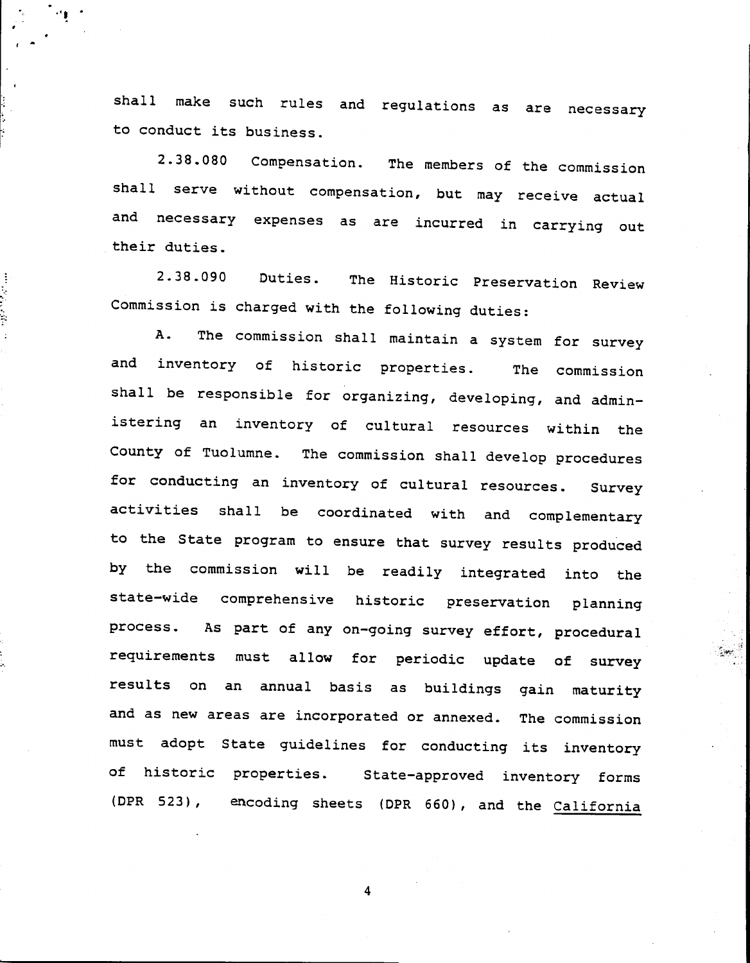shall make such rules and regulations as are necessary to conduct its business.

" ...'

.

,

.

;,

".

-

 $\overline{1}$ 

2.38.080 Compensation. The members of the commission shall serve without compensation, but may receive actual and necessary expenses as are incurred in carrying out their duties.

2.38.090 Duties. The Historic Preservation Review Commission is charged with the following duties:

A. The commission shall maintain a system for survey and inventory of historic properties. The commission shall be responsible for organizing, developing, and administering an inventory of cultural resources within the County of Tuolumne. The commission shall develop procedures for conducting an inventory of cultural resources. Survey activities shall be coordinated with and complementary to the State program to ensure that survey results produced by the commission will be readily integrated into the state-wide comprehensive historic preservation planning process. As part of any on-going survey effort, procedural requirements must allow for periodic update of survey results on an annual basis as buildings gain maturity and as new areas are incorporated or annexed. The commission must adopt State guidelines for conducting its inventory of historic properties. State-approved inventory forms (DPR 523), encoding sheets (DPR 660), and the California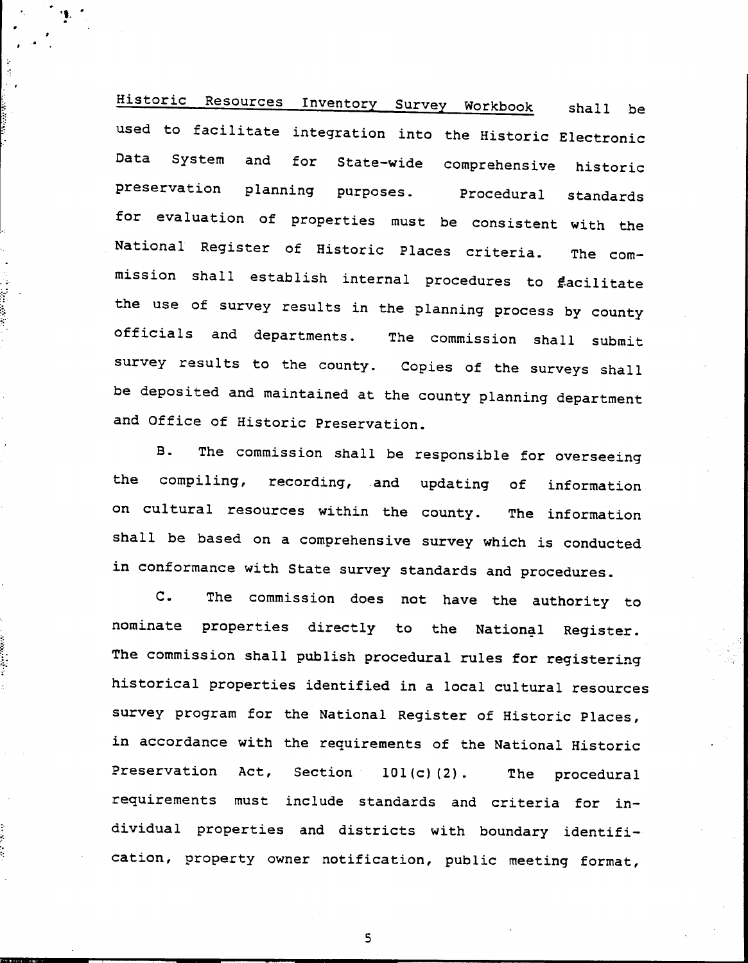Historic Resources Inventory Survey Workbook shall be used to facilitate integration into the Historic Electronic Data System and for State-wide comprehensive historic preservation planning purposes. Procedural standards for evaluation of properties must be consistent with the National Register of Historic Places criteria. The commission shall establish internal procedures to  $\sharp$ acilitate the use of survey results in the planning process by county .officials and departments. The commission shall submit survey results to the county. Copies of the surveys shall be deposited and maintained at the county planning department and Office of Historic Preservation.

 $\ddot{\phantom{a}}$ .

.

.

f

::

 $\cdot$ 

, .

B. The commission shall be responsible for overseeing the compiling, recording, and updating of information on cultural resources within the county. The information shall be based on a comprehensive survey which is conducted in conformance with State survey standards and procedures.

C. The commission does not have the authority to nominate properties directly to the National Register. The commission shall publish procedural rules for registering historical properties identified in a local cultural resources survey program for the National Register of Historic Places, in accordance with the requirements of the National Historic Preservation Act, Section 101(c)(2). The procedural requirements must include standards and criteria for individual properties and districts with boundary identifi cation, property owner notification, public meeting format,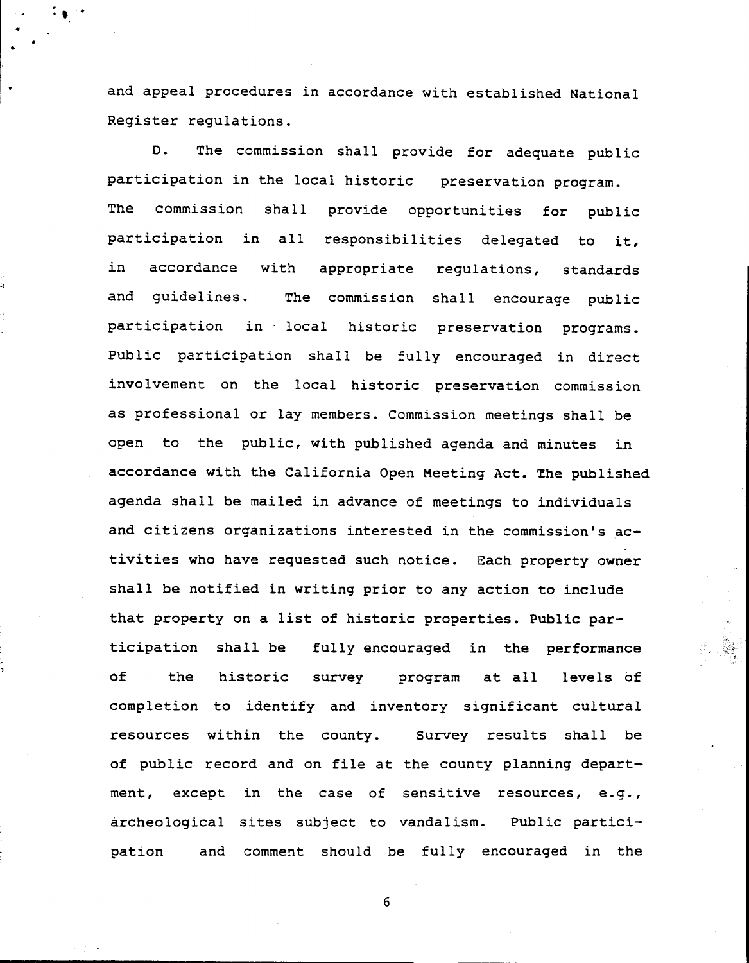and appeal procedures in accordance with established National Register regulations.

.:.. ..  $\cdot$  .

..

-~

D. The commission shall provide for adequate public participation in the local historic preservation program. The commission shall provide opportunities for public participation in all responsibilities delegated to it, in accordance with appropriate regulations, standards and guidelines. The commission shall encourage public participation in local historic preservation programs. Public participation shall be fully encouraged in direct involvement on the local historic preservation commission as professional or lay members. Commission meetings shall be open to the public, with published agenda and minutes in accordance with the California Open Meeting Act. The published agenda shall be mailed in advance of meetings to individuals and citizens organizations interested in the commission's activities who have requested such notice. Each property owner shall be notified in writing prior to any action to include that property on a list of historic properties. Public participation shall be fully encouraged in the performance of the historic survey program at all levels of completion to identify and inventory significant cultural resources within the county. Survey results shall be of public record and on file at the county planning department, except in the case of sensitive resources, e.g., archeological sites subject to vandalism. Public participation and comment should be fully encouraged in the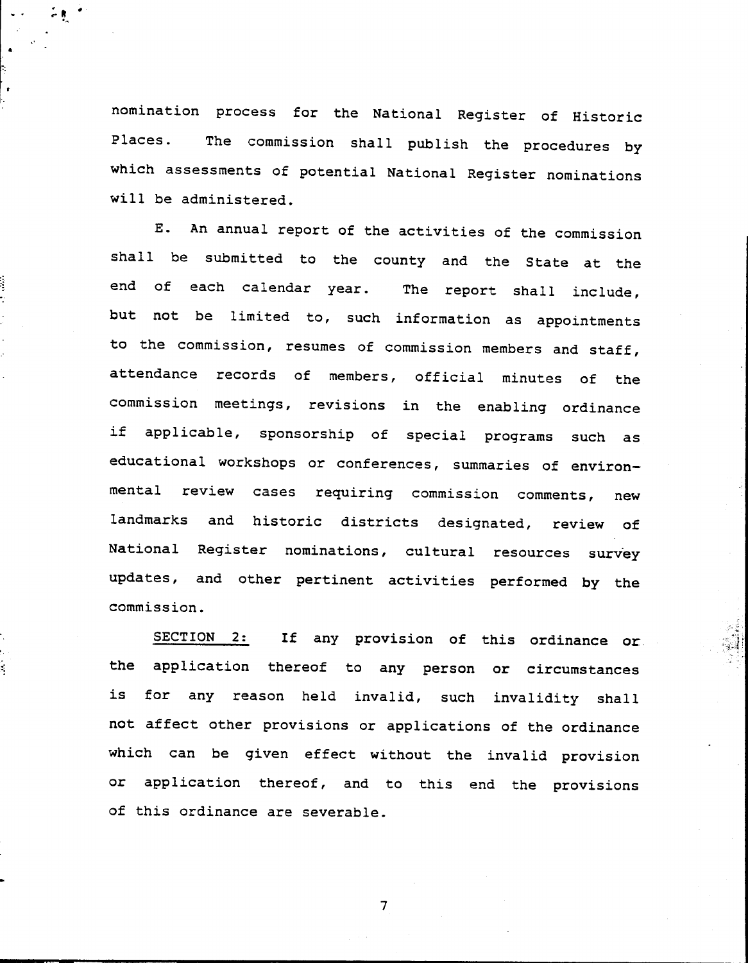nomination process for the National Register of Historic Places. The commission shall publish the procedures by which assessments of potential National Register nominations will be administered.

.- "

.

.Ir.

E. An annual report of the activities of the commission shall be submitted to the county and the State at the end of each calendar year. The report shall include, but not be limited to, such information as appointments to the commission, resumes of commission members and staff, attendance records of members, official minutes of the commission meetings, revisions in the enabling ordinance if applicable, sponsorship of special programs such as educational workshops or conferences, summaries of environmental review cases requiring commission comments, new landmarks and historic districts designated, review of National Register nominations, cultural resources survey updates, and other pertinent activities performed by the commission.

SECTION 2: If any provision of this ordinance or :; the application thereof to any person or circumstances is for any reason held invalid, such invalidity shall not affect other provisions or applications of the ordinance which can be given effect without the invalid provision or application thereof, and to this end the provisions of this ordinance are severable.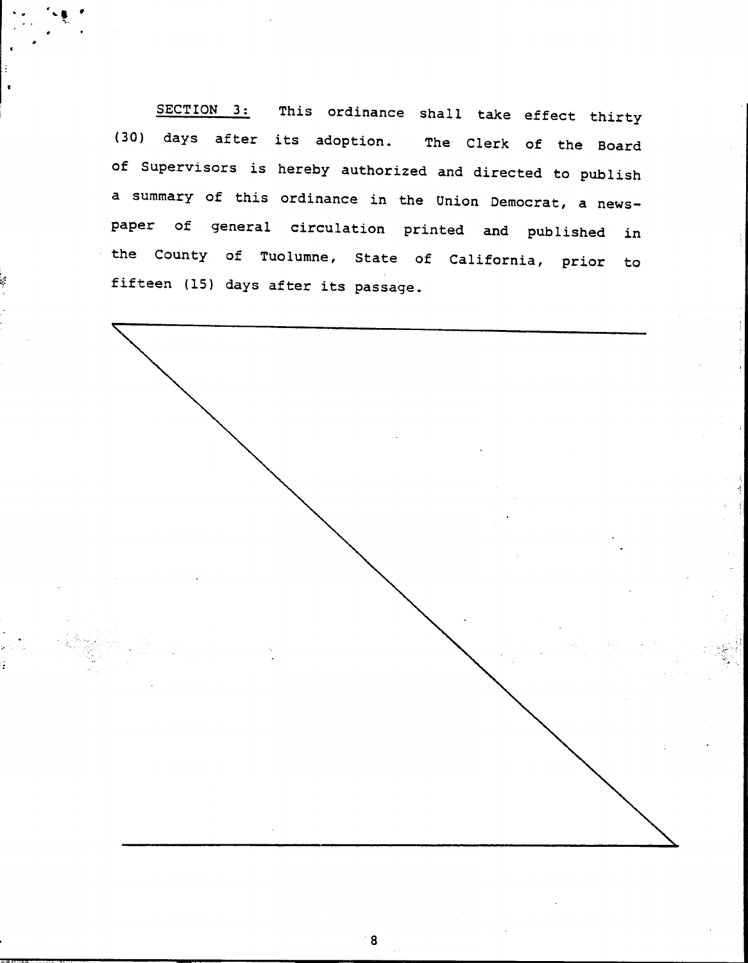SECTION 3: This ordinance shall take effect thirty (30) days after its adoption. The Clerk of the Board of Supervisors is hereby authorized and directed to publish a summary of this ordinance in the Union Democrat, a newspaper of general circulation printed and published in the County of Tuolumne, State of California, prior to fifteen (IS) days after its passage.

':. "-." . ..

\* .

f

c. :